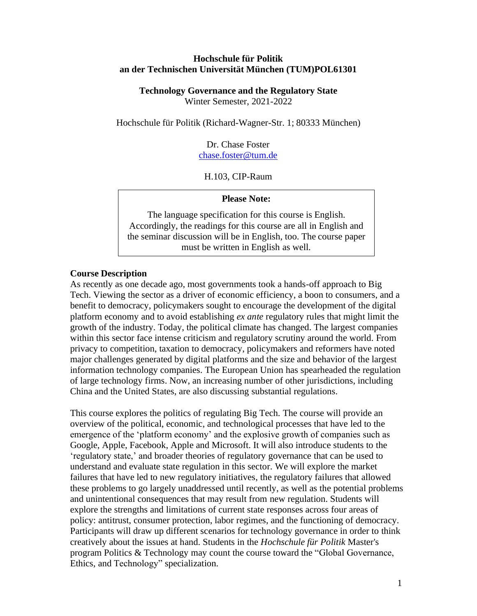#### **Hochschule für Politik an der Technischen Universität München (TUM)POL61301**

**Technology Governance and the Regulatory State** Winter Semester, 2021-2022

Hochschule für Politik (Richard-Wagner-Str. 1; 80333 München)

Dr. Chase Foster [chase.foster@tum.de](mailto:chase.foster@tum.de)

H.103, CIP-Raum

#### **Please Note:**

The language specification for this course is English. Accordingly, the readings for this course are all in English and the seminar discussion will be in English, too. The course paper must be written in English as well.

#### **Course Description**

As recently as one decade ago, most governments took a hands-off approach to Big Tech. Viewing the sector as a driver of economic efficiency, a boon to consumers, and a benefit to democracy, policymakers sought to encourage the development of the digital platform economy and to avoid establishing *ex ante* regulatory rules that might limit the growth of the industry. Today, the political climate has changed. The largest companies within this sector face intense criticism and regulatory scrutiny around the world. From privacy to competition, taxation to democracy, policymakers and reformers have noted major challenges generated by digital platforms and the size and behavior of the largest information technology companies. The European Union has spearheaded the regulation of large technology firms. Now, an increasing number of other jurisdictions, including China and the United States, are also discussing substantial regulations.

This course explores the politics of regulating Big Tech. The course will provide an overview of the political, economic, and technological processes that have led to the emergence of the 'platform economy' and the explosive growth of companies such as Google, Apple, Facebook, Apple and Microsoft. It will also introduce students to the 'regulatory state,' and broader theories of regulatory governance that can be used to understand and evaluate state regulation in this sector. We will explore the market failures that have led to new regulatory initiatives, the regulatory failures that allowed these problems to go largely unaddressed until recently, as well as the potential problems and unintentional consequences that may result from new regulation. Students will explore the strengths and limitations of current state responses across four areas of policy: antitrust, consumer protection, labor regimes, and the functioning of democracy. Participants will draw up different scenarios for technology governance in order to think creatively about the issues at hand. Students in the *Hochschule für Politik* Master's program Politics & Technology may count the course toward the "Global Governance, Ethics, and Technology" specialization.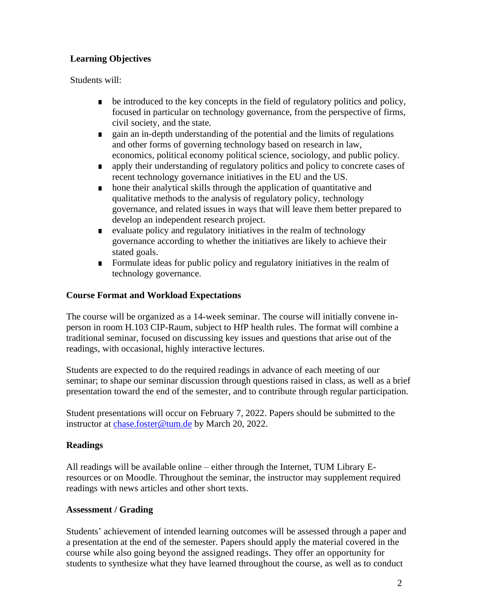# **Learning Objectives**

Students will:

- be introduced to the key concepts in the field of regulatory politics and policy, focused in particular on technology governance, from the perspective of firms, civil society, and the state.
- gain an in-depth understanding of the potential and the limits of regulations and other forms of governing technology based on research in law, economics, political economy political science, sociology, and public policy.
- **•** apply their understanding of regulatory politics and policy to concrete cases of recent technology governance initiatives in the EU and the US.
- hone their analytical skills through the application of quantitative and qualitative methods to the analysis of regulatory policy, technology governance, and related issues in ways that will leave them better prepared to develop an independent research project.
- evaluate policy and regulatory initiatives in the realm of technology governance according to whether the initiatives are likely to achieve their stated goals.
- Formulate ideas for public policy and regulatory initiatives in the realm of technology governance.

## **Course Format and Workload Expectations**

The course will be organized as a 14-week seminar. The course will initially convene inperson in room H.103 CIP-Raum, subject to HfP health rules. The format will combine a traditional seminar, focused on discussing key issues and questions that arise out of the readings, with occasional, highly interactive lectures.

Students are expected to do the required readings in advance of each meeting of our seminar; to shape our seminar discussion through questions raised in class, as well as a brief presentation toward the end of the semester, and to contribute through regular participation.

Student presentations will occur on February 7, 2022. Papers should be submitted to the instructor at [chase.foster@tum.de](mailto:chase.foster@tum.de) by March 20, 2022.

## **Readings**

All readings will be available online – either through the Internet, TUM Library Eresources or on Moodle. Throughout the seminar, the instructor may supplement required readings with news articles and other short texts.

## **Assessment / Grading**

Students' achievement of intended learning outcomes will be assessed through a paper and a presentation at the end of the semester. Papers should apply the material covered in the course while also going beyond the assigned readings. They offer an opportunity for students to synthesize what they have learned throughout the course, as well as to conduct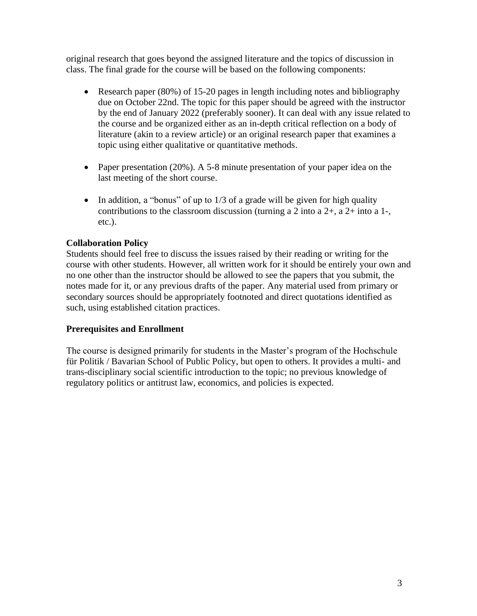original research that goes beyond the assigned literature and the topics of discussion in class. The final grade for the course will be based on the following components:

- Research paper (80%) of 15-20 pages in length including notes and bibliography due on October 22nd. The topic for this paper should be agreed with the instructor by the end of January 2022 (preferably sooner). It can deal with any issue related to the course and be organized either as an in-depth critical reflection on a body of literature (akin to a review article) or an original research paper that examines a topic using either qualitative or quantitative methods.
- Paper presentation (20%). A 5-8 minute presentation of your paper idea on the last meeting of the short course.
- In addition, a "bonus" of up to  $1/3$  of a grade will be given for high quality contributions to the classroom discussion (turning a 2 into a 2+, a 2+ into a 1-, etc.).

## **Collaboration Policy**

Students should feel free to discuss the issues raised by their reading or writing for the course with other students. However, all written work for it should be entirely your own and no one other than the instructor should be allowed to see the papers that you submit, the notes made for it, or any previous drafts of the paper. Any material used from primary or secondary sources should be appropriately footnoted and direct quotations identified as such, using established citation practices.

## **Prerequisites and Enrollment**

The course is designed primarily for students in the Master's program of the Hochschule für Politik / Bavarian School of Public Policy, but open to others. It provides a multi- and trans-disciplinary social scientific introduction to the topic; no previous knowledge of regulatory politics or antitrust law, economics, and policies is expected.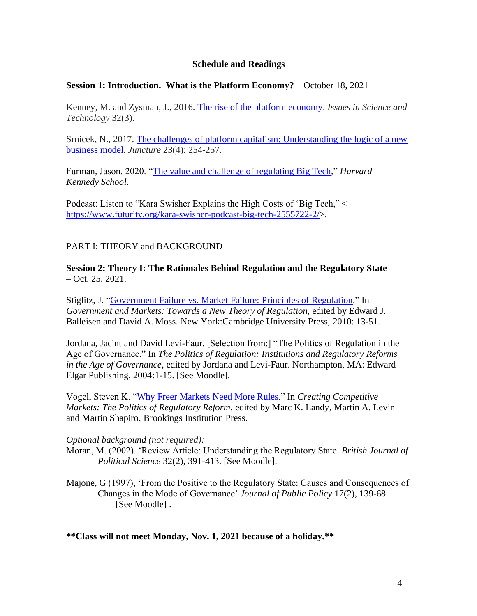#### **Schedule and Readings**

#### **Session 1: Introduction. What is the Platform Economy?** – October 18, 2021

Kenney, M. and Zysman, J., 2016. [The rise of the platform economy.](https://www.nbp.pl/badania/seminaria/25x2016_2.pdf) *Issues in Science and Technology* 32(3).

Srnicek, N., 2017. The challenges of platform capitalism: Understanding the logic of a new [business model.](https://onlinelibrary.wiley.com/doi/pdf/10.1111/newe.12023?casa_token=8BhiHCn64UQAAAAA:QyVGkquizPywyCx3Pfwcx2zzL73UA77UNvSvN6WJK5o8GRKpxBNz1-P4jp35jPeNNUD8r1xseSUmWnY) *Juncture* 23(4): 254-257.

Furman, Jason. 2020. ["The value and challenge of regulating Big Tech,](https://www.hks.harvard.edu/faculty-research/policy-topics/business-regulation/value-and-challenges-regulating-big-tech)" *Harvard Kennedy School.*

Podcast: Listen to "Kara Swisher Explains the High Costs of 'Big Tech," < [https://www.futurity.org/kara-swisher-podcast-big-tech-2555722-2/>](https://www.futurity.org/kara-swisher-podcast-big-tech-2555722-2/).

#### PART I: THEORY and BACKGROUND

**Session 2: Theory I: The Rationales Behind Regulation and the Regulatory State** – Oct. 25, 2021.

Stiglitz, J. ["Government Failure vs. Market Failure: Principles of](https://academiccommons.columbia.edu/doi/10.7916/D82F7V5C) Regulation." In *Government and Markets: Towards a New Theory of Regulation*, edited by Edward J. Balleisen and David A. Moss. New York:Cambridge University Press, 2010: 13-51.

Jordana, Jacint and David Levi-Faur. [Selection from:] "The Politics of Regulation in the Age of Governance." In *The Politics of Regulation: Institutions and Regulatory Reforms in the Age of Governance*, edited by Jordana and Levi-Faur. Northampton, MA: Edward Elgar Publishing, 2004:1-15. [See Moodle].

Vogel, Steven K. ["Why Freer Markets Need More Rules.](https://www.ocf.berkeley.edu/~svogel/wp-content/uploads/2016/07/Vogel-Why-Freer-Markets-Need-More-Rules-2007.pdf)" In *Creating Competitive Markets: The Politics of Regulatory Reform,* edited by Marc K. Landy, Martin A. Levin and Martin Shapiro. Brookings Institution Press.

#### *Optional background (not required):*

Moran, M. (2002). 'Review Article: Understanding the Regulatory State. *British Journal of Political Science* 32(2), 391-413. [See Moodle].

Majone, G (1997), 'From the Positive to the Regulatory State: Causes and Consequences of Changes in the Mode of Governance' *Journal of Public Policy* 17(2), 139-68. [See Moodle].

**\*\*Class will not meet Monday, Nov. 1, 2021 because of a holiday.\*\***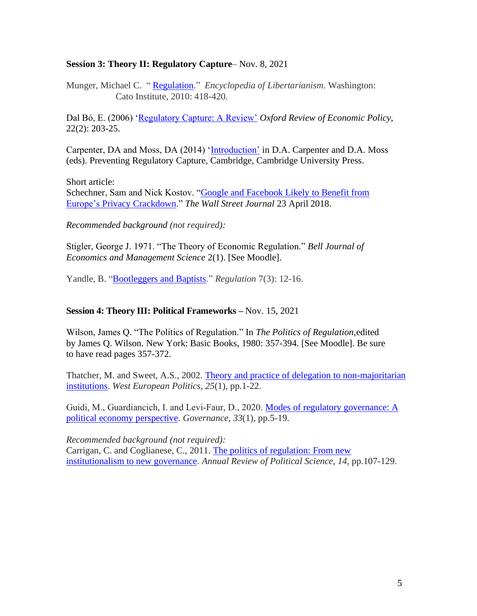### **Session 3: Theory II: Regulatory Capture**– Nov. 8, 2021

Munger, Michael C. " [Regulation.](https://www.libertarianism.org/encyclopedia/regulation)" *Encyclopedia of Libertarianism*. Washington: Cato Institute, 2010: 418-420.

Dal Bó, E. (2006) ['Regulatory Capture: A Review'](http://faculty.haas.berkeley.edu/Dalbo/Regulatory_Capture_Published.pdf) *Oxford Review of Economic Policy*, 22(2): 203-25.

Carpenter, DA and Moss, DA (2014) ['Introduction'](http://www.tobinproject.org/sites/tobinproject.org/files/assets/Introduction%20from%20Preventing%20Regulatory%20Capture.pdf) in D.A. Carpenter and D.A. Moss (eds). Preventing Regulatory Capture, Cambridge, Cambridge University Press.

Short article:

Schechner, Sam and Nick Kostov. ["Google and Facebook Likely to Benefit from](https://www.wsj.com/articles/how-europes-new-privacy-rules-favor-google-and-facebook-1524536324) Europe's Privacy [Crackdown.](https://www.wsj.com/articles/how-europes-new-privacy-rules-favor-google-and-facebook-1524536324)" *The Wall Street Journal* 23 April 2018.

*Recommended background (not required):* 

Stigler, George J. 1971. "The Theory of Economic Regulation." *Bell Journal of Economics and Management Science* 2(1). [See Moodle].

Yandle, B. ["Bootleggers and Baptists.](https://www.cato.org/sites/cato.org/files/serials/files/regulation/1983/5/v7n3-3.pdf)" *Regulation* 7(3): 12-16.

#### **Session 4: Theory III: Political Frameworks –** Nov. 15, 2021

Wilson, James Q. "The Politics of Regulation." In *The Politics of Regulation*,edited by James Q. Wilson. New York: Basic Books, 1980: 357-394. [See Moodle]. Be sure to have read pages 357-372.

Thatcher, M. and Sweet, A.S., 2002. [Theory and practice of delegation to non-majoritarian](https://www.tandfonline.com/doi/pdf/10.1080/713601583?casa_token=z3jmS6GO4P8AAAAA:00qZHrg6V-yh6Tja6LEaRzh_S06DxdlNI1ofBbSaFgLHXpv1ABTcZfg0AAf6aOOilRcB6zcMfc9CsaU)  [institutions.](https://www.tandfonline.com/doi/pdf/10.1080/713601583?casa_token=z3jmS6GO4P8AAAAA:00qZHrg6V-yh6Tja6LEaRzh_S06DxdlNI1ofBbSaFgLHXpv1ABTcZfg0AAf6aOOilRcB6zcMfc9CsaU) *West European Politics*, *25*(1), pp.1-22.

Guidi, M., Guardiancich, I. and Levi‐Faur, D., 2020. [Modes of regulatory governance: A](https://onlinelibrary.wiley.com/doi/pdf/10.1111/gove.12479?casa_token=k6hqVEr9HwkAAAAA:EViinEK-Ow6PRUkTRx6HYGKqtaxWi2baESOROGpqabhjMqY9Pw2Xf2H_UrjUYQN5LlaLez8Cxy-KHaI)  [political economy perspective.](https://onlinelibrary.wiley.com/doi/pdf/10.1111/gove.12479?casa_token=k6hqVEr9HwkAAAAA:EViinEK-Ow6PRUkTRx6HYGKqtaxWi2baESOROGpqabhjMqY9Pw2Xf2H_UrjUYQN5LlaLez8Cxy-KHaI) *Governance*, *33*(1), pp.5-19.

*Recommended background (not required):* 

Carrigan, C. and Coglianese, C., 2011. [The politics of regulation: From new](https://www.annualreviews.org/doi/full/10.1146/annurev.polisci.032408.171344)  [institutionalism to new governance.](https://www.annualreviews.org/doi/full/10.1146/annurev.polisci.032408.171344) *Annual Review of Political Science*, *14*, pp.107-129.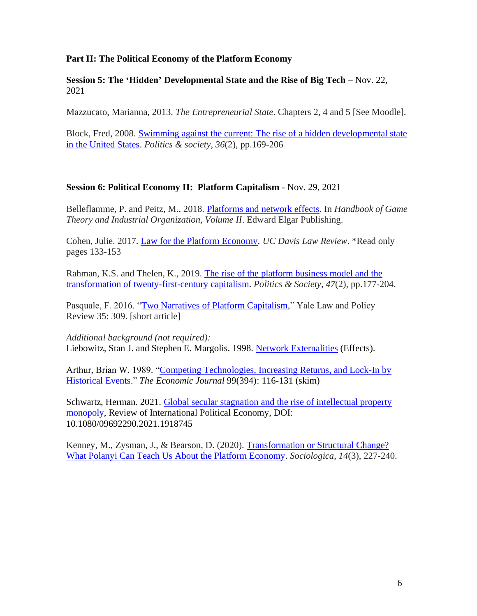### **Part II: The Political Economy of the Platform Economy**

**Session 5: The 'Hidden' Developmental State and the Rise of Big Tech** – Nov. 22, 2021

Mazzucato, Marianna, 2013. *The Entrepreneurial State*. Chapters 2, 4 and 5 [See Moodle].

Block, Fred, 2008. [Swimming against the current: The rise of a hidden developmental state](https://journals.sagepub.com/doi/pdf/10.1177/0032329208318731?casa_token=WIPxQ4qTLxMAAAAA:Guo1WjpVMciNm9TtVcH5YsuSy9rCJ1DNeqjB47F7Guyv4z7Hiku5SYWZbaFlR9ovobPr88rY_9mu_A)  in [the United States.](https://journals.sagepub.com/doi/pdf/10.1177/0032329208318731?casa_token=WIPxQ4qTLxMAAAAA:Guo1WjpVMciNm9TtVcH5YsuSy9rCJ1DNeqjB47F7Guyv4z7Hiku5SYWZbaFlR9ovobPr88rY_9mu_A) *Politics & society*, *36*(2), pp.169-206

#### **Session 6: Political Economy II: Platform Capitalism** - Nov. 29, 2021

Belleflamme, P. and Peitz, M., 2018. [Platforms and network effects.](https://madoc.bib.uni-mannheim.de/41306/1/16-14_Belleflamme%20Peitz.pdf) In *Handbook of Game Theory and Industrial Organization, Volume II*. Edward Elgar Publishing.

Cohen, Julie. 2017. [Law for the Platform Economy.](https://scholarship.law.georgetown.edu/cgi/viewcontent.cgi?article=3033&context=facpub) *UC Davis Law Review*. \*Read only pages 133-153

Rahman, K.S. and Thelen, K., 2019. [The rise of the platform business model and the](https://pure.mpg.de/rest/items/item_3036255/component/file_3240566/content)  [transformation of twenty-first-century capitalism.](https://pure.mpg.de/rest/items/item_3036255/component/file_3240566/content) *Politics & Society*, *47*(2), pp.177-204.

Pasquale, F. 2016. ["Two Narratives of Platform Capitalism,](https://digitalcommons.law.umaryland.edu/fac_pubs/1582)" Yale Law and Policy Review 35: 309. [short article]

*Additional background (not required):* Liebowitz, Stan J. and Stephen E. Margolis. 1998. Network [Externalities](https://www.utdallas.edu/~liebowit/palgrave/network.html) (Effects).

Arthur, Brian W. 1989. ["Competing Technologies, Increasing Returns, and Lock-In by](http://dimetic.dime-eu.org/dimetic_files/Lect%204%20to%20Cowan%20-%20Arthur.pdf) [Historical Events.](http://dimetic.dime-eu.org/dimetic_files/Lect%204%20to%20Cowan%20-%20Arthur.pdf)" *The Economic Journal* 99(394): 116-131 (skim)

Schwartz, Herman. 2021. [Global secular stagnation and the rise of intellectual property](https://uva.theopenscholar.com/files/hermanschwartz/files/stagnation.pdf)  [monopoly,](https://uva.theopenscholar.com/files/hermanschwartz/files/stagnation.pdf) Review of International Political Economy, DOI: 10.1080/09692290.2021.1918745

Kenney, M., Zysman, J., & Bearson, D. (2020). Transformation or Structural Change? [What Polanyi Can Teach Us About the Platform Economy.](https://sociologica.unibo.it/article/view/11475) *Sociologica*, *14*(3), 227-240.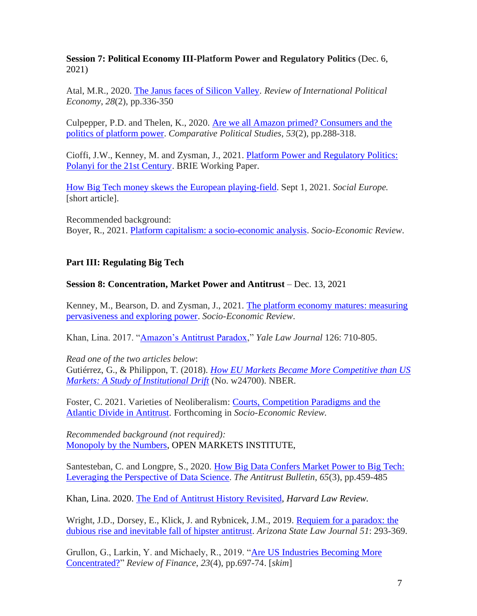**Session 7: Political Economy III-Platform Power and Regulatory Politics** (Dec. 6, 2021)

Atal, M.R., 2020. [The Janus faces of Silicon Valley.](https://www.tandfonline.com/doi/pdf/10.1080/09692290.2020.1830830?casa_token=sOzhUQwUMn0AAAAA:pId12Fce7BLWSDwRJFZBjgHV_OepaAO0NF8hoLUm4fIgHqrQMVmyDIRa2Nzf0nN8RKNOYY3a6KNqQhg) *Review of International Political Economy*, *28*(2), pp.336-350

Culpepper, P.D. and Thelen, K., 2020. [Are we all Amazon primed? Consumers and the](https://pure.mpg.de/rest/items/item_3070468/component/file_3289366/content)  [politics of platform power.](https://pure.mpg.de/rest/items/item_3070468/component/file_3289366/content) *Comparative Political Studies*, *53*(2), pp.288-318.

Cioffi, J.W., Kenney, M. and Zysman, J., 2021. [Platform Power and Regulatory Politics:](https://www.researchgate.net/profile/John-Cioffi/publication/353277388_Platform_Power_and_Regulatory_Politics_Polanyi_for_the_21st_Century_Platform_Power_and_Regulatory_Politics_Polanyi_for_the_21_st_Century/links/60f0d6cc16f9f313008757de/Platform-Power-and-Regulatory-Politics-Polanyi-for-the-21st-Century-Platform-Power-and-Regulatory-Politics-Polanyi-for-the-21-st-Century.pdf)  [Polanyi for the 21st Century.](https://www.researchgate.net/profile/John-Cioffi/publication/353277388_Platform_Power_and_Regulatory_Politics_Polanyi_for_the_21st_Century_Platform_Power_and_Regulatory_Politics_Polanyi_for_the_21_st_Century/links/60f0d6cc16f9f313008757de/Platform-Power-and-Regulatory-Politics-Polanyi-for-the-21st-Century-Platform-Power-and-Regulatory-Politics-Polanyi-for-the-21-st-Century.pdf) BRIE Working Paper.

[How Big Tech money skews the European playing-field.](https://socialeurope.eu/how-big-tech-money-skews-the-european-playing-field) Sept 1, 2021. *Social Europe.*  [short article].

Recommended background: Boyer, R., 2021. [Platform capitalism: a socio-economic analysis.](https://academic.oup.com/ser/advance-article/doi/10.1093/ser/mwaa055/6387571?casa_token=pKqGlpQreRsAAAAA:tYmV4hUXUxPV3E8YWU-jWboVAmfYXBO4zpguDTyaKxVOlUspB4wYU1bpxfRRs5znPLprv7ep8ocB) *Socio-Economic Review*.

## **Part III: Regulating Big Tech**

## **Session 8: Concentration, Market Power and Antitrust** – Dec. 13, 2021

Kenney, M., Bearson, D. and Zysman, J., 2021. [The platform economy matures: measuring](https://watermark.silverchair.com/mwab014.pdf?token=AQECAHi208BE49Ooan9kkhW_Ercy7Dm3ZL_9Cf3qfKAc485ysgAAAwgwggMEBgkqhkiG9w0BBwagggL1MIIC8QIBADCCAuoGCSqGSIb3DQEHATAeBglghkgBZQMEAS4wEQQMh4GwymoXk1xBPQkJAgEQgIICu51hGnPaowsQBbuXCvJz1oMFmK0TtNc6uRrt2XfE0iACfzd5fjhe2kzdYVt_FFsudIuD88jf-3eNOF-5sGPDFQ0pFj-sRqx-clKZhsKtKonXUtSXVSBi3APPJIl9xJXO8QS3vUmjISS0D1ILh_nXYFX_D0uOMkGduHqWamPsnmF9eNs0MYYXLYCJ2w98DBiXTwgiCHsShnB-Y-u2g_qenDL67yQZ_v2whKgLY5Hh0U8g-avKO6eFxpVX60wngZOpL_ozLlf_gWU_AOqZtQYxspTt54Yl-HhoJuXvC79hrMTRJ2LseS49f3t310E16JvnX_gmLuXPOKqtxbtdj9U2HgDpk_DiJDxBjXC-d02Z5xTQTvvdeM0a65KdJ5fcl0zS-1ducX5MU1OLaCKq-j0UyPc_QSIHC6LGeAgAsn1rHIuZoNZ5GjlU2q3XynPbaHGpmdHJ61PfnPRMfR1SuEVEWClRlZdLZ6fAc7-s4i1QKOH2zJkqVHA7pDLxCDv7yN6WM1oSCYM1f0xoiqgftEgCZpYjz3lfLJVkkkDbHtWCmwKzeGF5sGm5LQVlkZXxnAQWb6dfMNO9s0E9EebITU7gBnL37TAgZ_wKdNdvJRK5W5Mr-5EbiEahmGuuzjHaQ8eQWtqubsmgTHMru2Or0tkoY0LMiHEes1bpctXkm0-WGKbDSzvwvQOOVPlVYa13V-7xYE_7pz1TgDheewwmP1D-dcZ_uEyVOjROxcr3OMkH3P4WtuKUHqrjygE2Huu7Kznx2vC4jHiD_Mj1VDlrb15NYVYL0IrFWNVcxteqz8pPEYb6N4PjMCL_N3o7PYua7tLt3ineYDl-h6bpS2JVzoVJhzimZw4E9v_1Jsy0pVdGPn4jOS-wmYP4EGlAbqYGMK7fMCit1J2as1-kQMNzarfeCelZURnRGof-fIe-7g)  [pervasiveness and exploring power.](https://watermark.silverchair.com/mwab014.pdf?token=AQECAHi208BE49Ooan9kkhW_Ercy7Dm3ZL_9Cf3qfKAc485ysgAAAwgwggMEBgkqhkiG9w0BBwagggL1MIIC8QIBADCCAuoGCSqGSIb3DQEHATAeBglghkgBZQMEAS4wEQQMh4GwymoXk1xBPQkJAgEQgIICu51hGnPaowsQBbuXCvJz1oMFmK0TtNc6uRrt2XfE0iACfzd5fjhe2kzdYVt_FFsudIuD88jf-3eNOF-5sGPDFQ0pFj-sRqx-clKZhsKtKonXUtSXVSBi3APPJIl9xJXO8QS3vUmjISS0D1ILh_nXYFX_D0uOMkGduHqWamPsnmF9eNs0MYYXLYCJ2w98DBiXTwgiCHsShnB-Y-u2g_qenDL67yQZ_v2whKgLY5Hh0U8g-avKO6eFxpVX60wngZOpL_ozLlf_gWU_AOqZtQYxspTt54Yl-HhoJuXvC79hrMTRJ2LseS49f3t310E16JvnX_gmLuXPOKqtxbtdj9U2HgDpk_DiJDxBjXC-d02Z5xTQTvvdeM0a65KdJ5fcl0zS-1ducX5MU1OLaCKq-j0UyPc_QSIHC6LGeAgAsn1rHIuZoNZ5GjlU2q3XynPbaHGpmdHJ61PfnPRMfR1SuEVEWClRlZdLZ6fAc7-s4i1QKOH2zJkqVHA7pDLxCDv7yN6WM1oSCYM1f0xoiqgftEgCZpYjz3lfLJVkkkDbHtWCmwKzeGF5sGm5LQVlkZXxnAQWb6dfMNO9s0E9EebITU7gBnL37TAgZ_wKdNdvJRK5W5Mr-5EbiEahmGuuzjHaQ8eQWtqubsmgTHMru2Or0tkoY0LMiHEes1bpctXkm0-WGKbDSzvwvQOOVPlVYa13V-7xYE_7pz1TgDheewwmP1D-dcZ_uEyVOjROxcr3OMkH3P4WtuKUHqrjygE2Huu7Kznx2vC4jHiD_Mj1VDlrb15NYVYL0IrFWNVcxteqz8pPEYb6N4PjMCL_N3o7PYua7tLt3ineYDl-h6bpS2JVzoVJhzimZw4E9v_1Jsy0pVdGPn4jOS-wmYP4EGlAbqYGMK7fMCit1J2as1-kQMNzarfeCelZURnRGof-fIe-7g) *Socio-Economic Review*.

Khan, Lina. 2017. ["Amazon's Antitrust Paradox,](https://heinonline.org/HOL/Page?handle=hein.journals/ylr126&div=18&g_sent=1&casa_token=&collection=journals)" *Yale Law Journal* 126: 710-805.

*Read one of the two articles below*:

Gutiérrez, G., & Philippon, T. (2018). *[How EU Markets Became More Competitive than US](https://www.nber.org/papers/w24700)  [Markets: A Study of Institutional Drift](https://www.nber.org/papers/w24700)* (No. w24700). NBER.

Foster, C. 2021. Varieties of Neoliberalism: [Courts, Competition Paradigms and the](https://ca62be66-d8c2-48eb-8734-300c76dc1a5f.filesusr.com/ugd/892c68_12bbdba9dfe54de98f52d13939bd8e5a.pdf)  [Atlantic Divide in Antitrust.](https://ca62be66-d8c2-48eb-8734-300c76dc1a5f.filesusr.com/ugd/892c68_12bbdba9dfe54de98f52d13939bd8e5a.pdf) Forthcoming in *Socio-Economic Review.* 

*Recommended background (not required):*  [Monopoly by the Numbers,](https://openmarketsinstitute.org/explainer/monopoly-by-the-numbers) OPEN MARKETS INSTITUTE,

Santesteban, C. and Longpre, S., 2020. [How Big Data Confers Market Power to Big Tech:](https://journals.sagepub.com/doi/pdf/10.1177/0003603X20934212?casa_token=UwYV-DKOAGEAAAAA:uVnzWOohvZVh0ZqU2BVAibpbE-7pQN1j4JIa2dXq1p_nYHaTnjpdoWE7Txx2uJo2GdPUpJzMOpaHfA)  [Leveraging the Perspective](https://journals.sagepub.com/doi/pdf/10.1177/0003603X20934212?casa_token=UwYV-DKOAGEAAAAA:uVnzWOohvZVh0ZqU2BVAibpbE-7pQN1j4JIa2dXq1p_nYHaTnjpdoWE7Txx2uJo2GdPUpJzMOpaHfA) of Data Science. *The Antitrust Bulletin*, *65*(3), pp.459-485

Khan, Lina. 2020. [The End of Antitrust History Revisited,](https://harvardlawreview.org/2020/03/the-end-of-antitrust-history-revisited/) *Harvard Law Review.*

Wright, J.D., Dorsey, E., Klick, J. and Rybnicek, J.M., 2019. Requiem for a paradox: the [dubious rise and inevitable fall of hipster antitrust.](https://arizonastatelawjournal.org/wp-content/uploads/2019/05/Wright-et-al.-Final.pdf) *Arizona State Law Journal 51*: 293-369.

Grullon, G., Larkin, Y. and Michaely, R., 2019. ["Are US Industries Becoming More](https://academic.oup.com/rof/article/23/4/697/5477414)  [Concentrated?"](https://academic.oup.com/rof/article/23/4/697/5477414) *Review of Finance*, *23*(4), pp.697-74. [*skim*]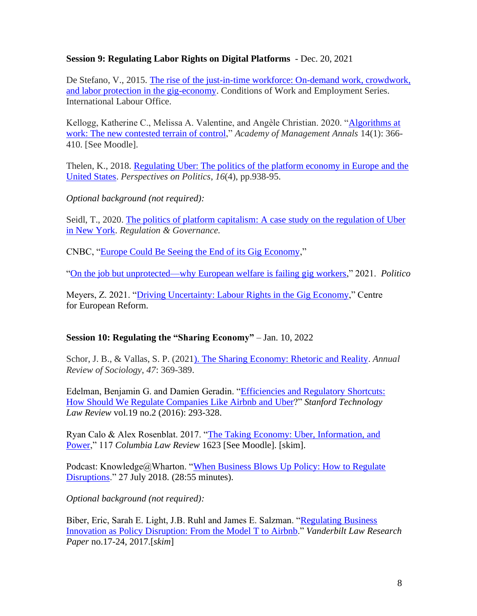## **Session 9: Regulating Labor Rights on Digital Platforms** - Dec. 20, 2021

De Stefano, V., 2015. [The rise of the just-in-time workforce: On-demand work, crowdwork,](https://www.ilo.org/wcmsp5/groups/public/---ed_protect/---protrav/---travail/documents/publication/wcms_443267.pdf)  [and labor protection in the gig-economy.](https://www.ilo.org/wcmsp5/groups/public/---ed_protect/---protrav/---travail/documents/publication/wcms_443267.pdf) Conditions of Work and Employment Series. International Labour Office.

Kellogg, Katherine C., Melissa A. Valentine, and Angèle Christian. 2020. ["Algorithms at](http://www.angelechristin.com/wp-content/uploads/2020/01/Algorithms-at-Work_Annals.pdf)  work: The [new contested terrain of control,](http://www.angelechristin.com/wp-content/uploads/2020/01/Algorithms-at-Work_Annals.pdf)" *Academy of Management Annals* 14(1): 366- 410. [See Moodle].

Thelen, K., 2018. [Regulating Uber: The politics of the platform economy in Europe and the](https://pure.mpg.de/rest/items/item_3010734/component/file_3186666/content)  [United States.](https://pure.mpg.de/rest/items/item_3010734/component/file_3186666/content) *Perspectives on Politics*, *16*(4), pp.938-95.

*Optional background (not required):* 

Seidl, T., 2020. [The politics of platform capitalism: A case](https://onlinelibrary.wiley.com/doi/abs/10.1111/rego.12353?casa_token=PLGFa7X81KQAAAAA:MFRQjm2GNP6wJBFMbTGCF1FUI-IYmYVb_b7x82_uwXNGC0kdcVqpudarl-Ergai7LuC487AnoYXT8PU) study on the regulation of Uber [in New York.](https://onlinelibrary.wiley.com/doi/abs/10.1111/rego.12353?casa_token=PLGFa7X81KQAAAAA:MFRQjm2GNP6wJBFMbTGCF1FUI-IYmYVb_b7x82_uwXNGC0kdcVqpudarl-Ergai7LuC487AnoYXT8PU) *Regulation & Governance.*

CNBC, ["Europe Could Be Seeing the End of its Gig Economy,](https://www.cnbc.com/2021/04/12/europe-could-be-seeing-the-end-of-its-gig-economy-deliveroo-uber.html)"

["On the job but unprotected—why European welfare is failing gig workers,](https://www.politico.eu/article/europe-welfare-systems-failing-gig-workers/)" 2021. *Politico*

Meyers, Z. 2021. ["Driving Uncertainty: Labour Rights in the Gig Economy,](https://www.cer.eu/insights/driving-uncertainty-labour-rights-gig-economy)" Centre for European Reform.

## **Session 10: Regulating the "Sharing Economy"** – Jan. 10, 2022

Schor, J. B., & Vallas, S. P. (202[1\). The Sharing Economy: Rhetoric and Reality.](https://www.annualreviews.org/doi/pdf/10.1146/annurev-soc-082620-031411?casa_token=9gdbAiP513YAAAAA:AFKTdiTCTN6g-iNDyx2RwSXqSNqjjwy0L_QnpdWX8CL7P1VJwWQik5n539X0t81-gOjz68GarqaZOQ) *Annual Review of Sociology*, *47*: 369-389.

Edelman, Benjamin G. and Damien Geradin. ["Efficiencies and Regulatory](https://law.stanford.edu/publications/efficiencies-and-regulatory-shortcuts-how-should-we-regulate-companies-like-airbnb-and-uber/) Shortcuts: [How Should We Regulate Companies Like Airbnb and](https://law.stanford.edu/publications/efficiencies-and-regulatory-shortcuts-how-should-we-regulate-companies-like-airbnb-and-uber/) Uber?" *Stanford Technology Law Review* vol.19 no.2 (2016): 293-328.

Ryan Calo & Alex Rosenblat. 2017. ["The Taking Economy: Uber, Information, and](https://digitalcommons.law.uw.edu/faculty-articles/47)  [Power,](https://digitalcommons.law.uw.edu/faculty-articles/47)" 117 *Columbia Law Review* 1623 [See Moodle]. [skim].

Podcast: Knowledge@Wharton. ["When Business Blows Up Policy: How to Regulate](https://knowledge.wharton.upenn.edu/article/when-business-blows-up-policy-how-to-regulate-disruptions/) [Disruptions.](https://knowledge.wharton.upenn.edu/article/when-business-blows-up-policy-how-to-regulate-disruptions/)" 27 July 2018. (28:55 minutes).

*Optional background (not required):*

Biber, Eric, Sarah E. Light, J.B. Ruhl and James E. Salzman. ["Regulating](https://scholarship.law.vanderbilt.edu/cgi/viewcontent.cgi?article=1085&context=vlr) Business [Innovation as Policy Disruption: From the Model T to Airbnb.](https://scholarship.law.vanderbilt.edu/cgi/viewcontent.cgi?article=1085&context=vlr)" *Vanderbilt Law Research Paper* no.17-24, 2017.[*skim*]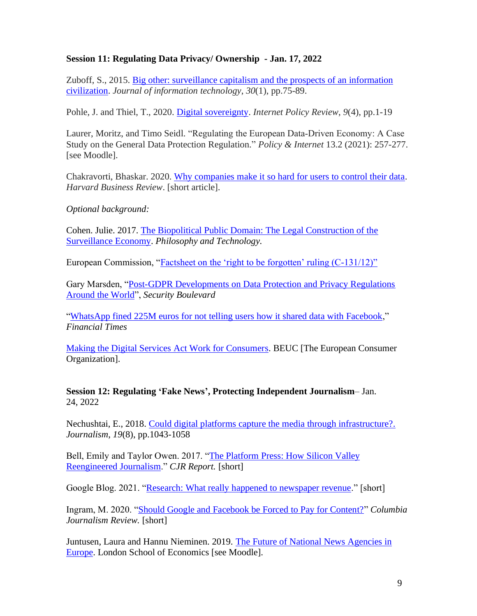### **Session 11: Regulating Data Privacy/ Ownership - Jan. 17, 2022**

Zuboff, S., 2015. [Big other: surveillance capitalism and the prospects of an information](https://journals.sagepub.com/doi/pdf/10.1057/jit.2015.5)  [civilization.](https://journals.sagepub.com/doi/pdf/10.1057/jit.2015.5) *Journal of information technology*, *30*(1), pp.75-89.

Pohle, J. and Thiel, T., 2020. [Digital sovereignty.](https://www.econstor.eu/bitstream/10419/233109/1/1755313594.pdf) *Internet Policy Review*, *9*(4), pp.1-19

Laurer, Moritz, and Timo Seidl. "Regulating the European Data‐Driven Economy: A Case Study on the General Data Protection Regulation." *Policy & Internet* 13.2 (2021): 257-277. [see Moodle].

Chakravorti, Bhaskar. 2020. [Why companies make it so hard for users to control their data.](https://hbr.org/2020/01/why-companies-make-it-so-hard-for-users-to-control-their-data) *Harvard Business Review*. [short article].

*Optional background:* 

Cohen. Julie. 2017. [The Biopolitical Public Domain: The Legal Construction of the](http://blog.lavoiedubitcoin.info/public/Benkler/SSRN-id2666570.pdf)  [Surveillance Economy.](http://blog.lavoiedubitcoin.info/public/Benkler/SSRN-id2666570.pdf) *Philosophy and Technology.*

European Commission, ["Factsheet on the 'right to be forgotten' ruling \(C-131/12\)"](https://www.inforights.im/media/1186/cl_eu_commission_factsheet_right_to_be-%20forgotten.pdf)

Gary Marsden, ["Post-GDPR Developments on Data Protection and Privacy Regulations](https://securityboulevard.com/2019/11/post-gdpr-%20developments-on-data-protection-and-privacy-regulations-around-the-world/)  [Around the World"](https://securityboulevard.com/2019/11/post-gdpr-%20developments-on-data-protection-and-privacy-regulations-around-the-world/), *Security Boulevard* 

["WhatsApp fined 225M euros for not telling users how it shared data with Facebook,](https://www.ft.com/content/bea42671-d940-461b-b550-9700fbf322b8)" *Financial Times* 

[Making the Digital Services Act Work for Consumers.](https://www.beuc.eu/publications/beuc-x-2020-031_making_the_digital_services_act_work_for_consumers_-_beucs_recommendations.pdf) BEUC [The European Consumer Organization].

**Session 12: Regulating 'Fake News', Protecting Independent Journalism**– Jan. 24, 2022

Nechushtai, E., 2018. [Could digital platforms capture the media through infrastructure?.](https://journals.sagepub.com/doi/pdf/10.1177/1464884917725163?casa_token=hQs19yoDmbkAAAAA:aptoNxpj672J2x03sVJ1rOMq62LWFcgotws2oqXfWerAPcxmJJefDvkb3v4UgGUsG7im9yQzPMfKzQ) *Journalism*, *19*(8), pp.1043-1058

Bell, Emily and Taylor Owen. 2017. ["The Platform Press: How Silicon Valley](https://www.cjr.org/tow_center_reports/platform-press-how-silicon-valley-reengineered-journalism.php) [Reengineered](https://www.cjr.org/tow_center_reports/platform-press-how-silicon-valley-reengineered-journalism.php) Journalism." *CJR Report.* [short]

Google Blog. 2021. ["Research: What really happened to newspaper revenue.](https://blog.google/around-the-globe/google-europe/research-what-really-happened-newspaper-revenue/)" [short]

Ingram, M. 2020. ["Should Google and Facebook be Forced to Pay for Content?"](https://www.cjr.org/the_media_today/should-google-and-facebook-be-forced-to-pay-for-content.php) *Columbia Journalism Review.* [short]

Juntusen, Laura and Hannu Nieminen. 2019. [The Future of National News Agencies in](https://www.lse.ac.uk/media-and-communications/research/research-projects/news-agencies)  [Europe.](https://www.lse.ac.uk/media-and-communications/research/research-projects/news-agencies) London School of Economics [see Moodle].